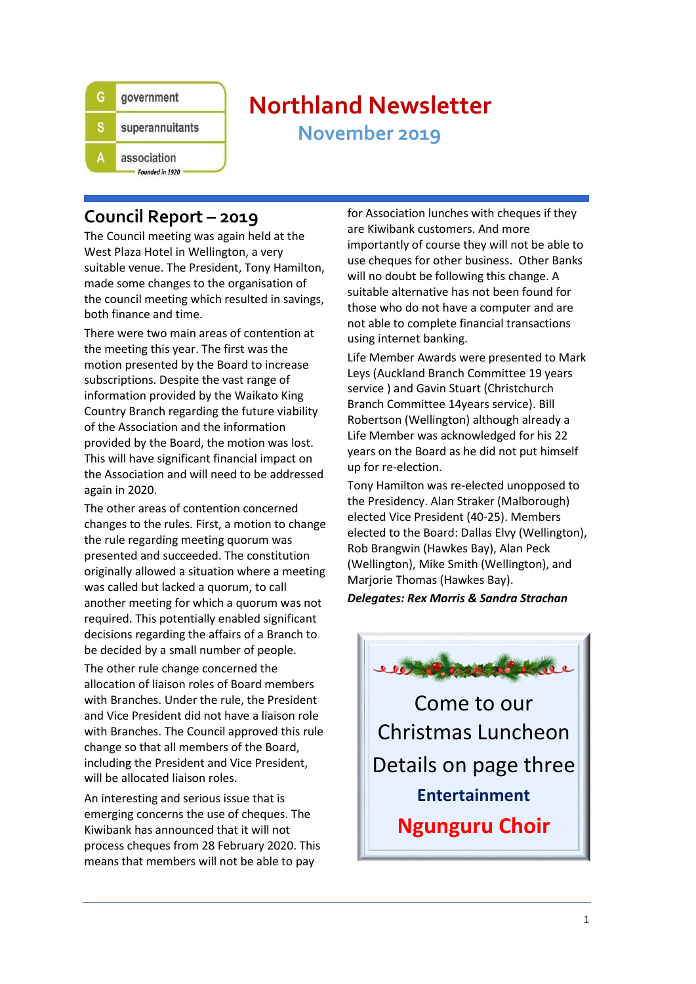

# **Northland Newsletter**

**November 2019**

# **Council Report – 2019**

The Council meeting was again held at the West Plaza Hotel in Wellington, a very suitable venue. The President, Tony Hamilton, made some changes to the organisation of the council meeting which resulted in savings, both finance and time.

There were two main areas of contention at the meeting this year. The first was the motion presented by the Board to increase subscriptions. Despite the vast range of information provided by the Waikato King Country Branch regarding the future viability of the Association and the information provided by the Board, the motion was lost. This will have significant financial impact on the Association and will need to be addressed again in 2020.

The other areas of contention concerned changes to the rules. First, a motion to change the rule regarding meeting quorum was presented and succeeded. The constitution originally allowed a situation where a meeting was called but lacked a quorum, to call another meeting for which a quorum was not required. This potentially enabled significant decisions regarding the affairs of a Branch to be decided by a small number of people.

The other rule change concerned the allocation of liaison roles of Board members with Branches. Under the rule, the President and Vice President did not have a liaison role with Branches. The Council approved this rule change so that all members of the Board, including the President and Vice President, will be allocated liaison roles.

An interesting and serious issue that is emerging concerns the use of cheques. The Kiwibank has announced that it will not process cheques from 28 February 2020. This means that members will not be able to pay

for Association lunches with cheques if they are Kiwibank customers. And more importantly of course they will not be able to use cheques for other business. Other Banks will no doubt be following this change. A suitable alternative has not been found for those who do not have a computer and are not able to complete financial transactions using internet banking.

Life Member Awards were presented to Mark Leys (Auckland Branch Committee 19 years service ) and Gavin Stuart (Christchurch Branch Committee 14years service). Bill Robertson (Wellington) although already a Life Member was acknowledged for his 22 years on the Board as he did not put himself up for re-election.

Tony Hamilton was re-elected unopposed to the Presidency. Alan Straker (Malborough) elected Vice President (40-25). Members elected to the Board: Dallas Elvy (Wellington), Rob Brangwin (Hawkes Bay), Alan Peck (Wellington), Mike Smith (Wellington), and Marjorie Thomas (Hawkes Bay).

#### *Delegates: Rex Morris & Sandra Strachan*



Come to our Christmas Luncheon Details on page three **Entertainment Ngunguru Choir**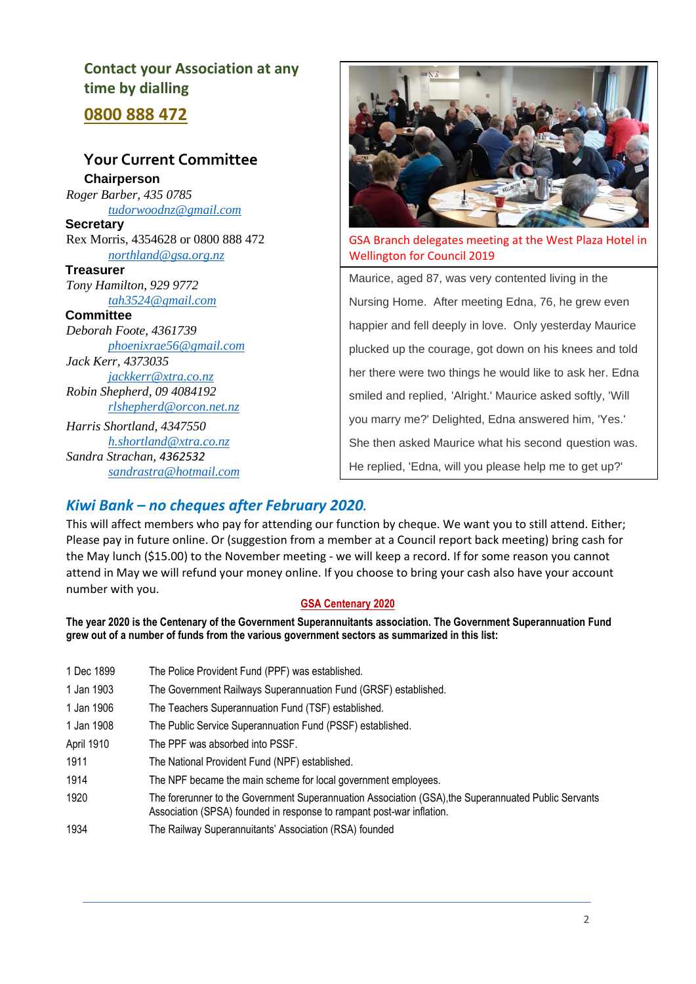# **Contact your Association at any time by dialling**

**0800 888 472**

#### **Your Current Committee Chairperson**  *Roger Barber, 435 0785*

*[tudorwoodnz@gmail.com](mailto:tudorwoodnz@gmail.com)* **Secretary** 

Rex Morris, 4354628 or 0800 888 472 *[northland@gsa.org.nz](mailto:northland@gsa.org.nz)*

**Treasurer**  *Tony Hamilton, 929 9772 [tah3524@gmail.com](mailto:tah3524@gmail.com)*

#### **Committee**

*Deborah Foote, 4361739 [phoenixrae56@gmail.com](mailto:phoenixrae56@gmail.com) Jack Kerr, 4373035 [jackkerr@xtra.co.nz](mailto:jackkerr@xtra.co.nz) Robin Shepherd, 09 4084192*

*[rlshepherd@orcon.net.nz](mailto:rlshepherd@orcon.net.nz) Harris Shortland, 4347550 [h.shortland@xtra.co.nz](mailto:h.shortland@xtra.co.nz)*

*Sandra Strachan, 4362532 [sandrastra@hotmail.com](mailto:sandrastra@hotmail.com)*



GSA Branch delegates meeting at the West Plaza Hotel in Wellington for Council 2019

Maurice, aged 87, was very contented living in the Nursing Home. After meeting Edna, 76, he grew even happier and fell deeply in love. Only yesterday Maurice plucked up the courage, got down on his knees and told her there were two things he would like to ask her. Edna smiled and replied, 'Alright.' Maurice asked softly, 'Will you marry me?' Delighted, Edna answered him, 'Yes.' She then asked Maurice what his second question was. He replied, 'Edna, will you please help me to get up?'

# *Kiwi Bank – no cheques after February 2020.*

This will affect members who pay for attending our function by cheque. We want you to still attend. Either; Please pay in future online. Or (suggestion from a member at a Council report back meeting) bring cash for the May lunch (\$15.00) to the November meeting - we will keep a record. If for some reason you cannot attend in May we will refund your money online. If you choose to bring your cash also have your account number with you.

#### **GSA Centenary 2020**

**The year 2020 is the Centenary of the Government Superannuitants association. The Government Superannuation Fund grew out of a number of funds from the various government sectors as summarized in this list:**

1 Dec 1899 The Police Provident Fund (PPF) was established. 1 Jan 1903 The Government Railways Superannuation Fund (GRSF) established. 1 Jan 1906 The Teachers Superannuation Fund (TSF) established. 1 Jan 1908 The Public Service Superannuation Fund (PSSF) established. April 1910 The PPF was absorbed into PSSF. 1911 The National Provident Fund (NPF) established. 1914 The NPF became the main scheme for local government employees. 1920 The forerunner to the Government Superannuation Association (GSA),the Superannuated Public Servants Association (SPSA) founded in response to rampant post-war inflation. 1934 The Railway Superannuitants' Association (RSA) founded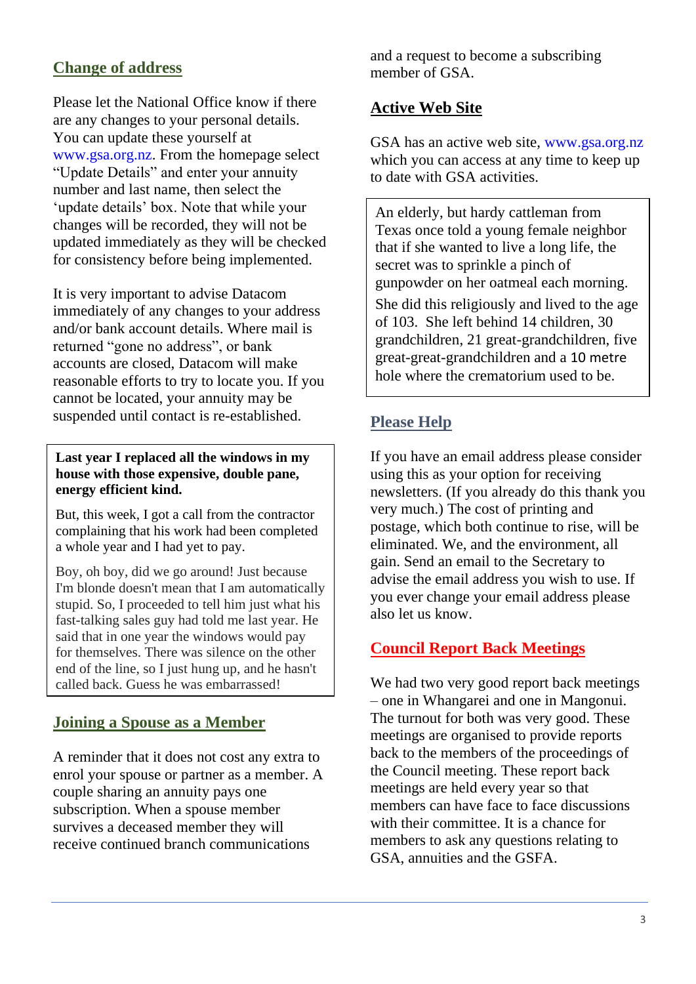# **Change of address**

Please let the National Office know if there are any changes to your personal details. You can update these yourself at www.gsa.org.nz. From the homepage select "Update Details" and enter your annuity number and last name, then select the 'update details' box. Note that while your changes will be recorded, they will not be updated immediately as they will be checked for consistency before being implemented.

It is very important to advise Datacom immediately of any changes to your address and/or bank account details. Where mail is returned "gone no address", or bank accounts are closed, Datacom will make reasonable efforts to try to locate you. If you cannot be located, your annuity may be suspended until contact is re-established.

#### **Last year I replaced all the windows in my house with those expensive, double pane, energy efficient kind.**

But, this week, I got a call from the contractor complaining that his work had been completed a whole year and I had yet to pay.

Boy, oh boy, did we go around! Just because I'm blonde doesn't mean that I am automatically stupid. So, I proceeded to tell him just what his fast-talking sales guy had told me last year. He said that in one year the windows would pay for themselves. There was silence on the other end of the line, so I just hung up, and he hasn't called back. Guess he was embarrassed!

## **Joining a Spouse as a Member**

A reminder that it does not cost any extra to enrol your spouse or partner as a member. A couple sharing an annuity pays one subscription. When a spouse member survives a deceased member they will receive continued branch communications

and a request to become a subscribing member of GSA.

# **Active Web Site**

GSA has an active web site, www.gsa.org.nz which you can access at any time to keep up to date with GSA activities.

An elderly, but hardy cattleman from Texas once told a young female neighbor that if she wanted to live a long life, the secret was to sprinkle a pinch of gunpowder on her oatmeal each morning.

She did this religiously and lived to the age of 103. She left behind 14 children, 30 grandchildren, 21 great-grandchildren, five great-great-grandchildren and a 10 metre hole where the crematorium used to be.

# **Please Help**

If you have an email address please consider using this as your option for receiving newsletters. (If you already do this thank you very much.) The cost of printing and postage, which both continue to rise, will be eliminated. We, and the environment, all gain. Send an email to the Secretary to advise the email address you wish to use. If you ever change your email address please also let us know.

## **Council Report Back Meetings**

We had two very good report back meetings – one in Whangarei and one in Mangonui. The turnout for both was very good. These meetings are organised to provide reports back to the members of the proceedings of the Council meeting. These report back meetings are held every year so that members can have face to face discussions with their committee. It is a chance for members to ask any questions relating to GSA, annuities and the GSFA.